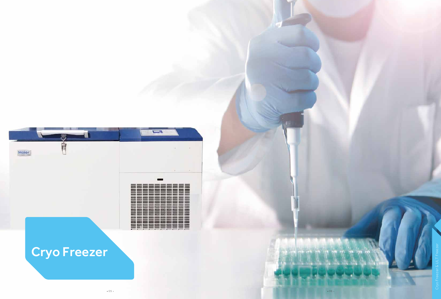

|  |  | $\equiv$ |                                                       | $- -$ |  |                          |  |
|--|--|----------|-------------------------------------------------------|-------|--|--------------------------|--|
|  |  |          |                                                       |       |  |                          |  |
|  |  |          |                                                       |       |  |                          |  |
|  |  |          | <b>COLOR STATE COAST GIVEN GATE: AND STATE</b>        |       |  |                          |  |
|  |  |          |                                                       |       |  |                          |  |
|  |  |          |                                                       |       |  |                          |  |
|  |  |          | --------                                              |       |  |                          |  |
|  |  |          |                                                       |       |  |                          |  |
|  |  |          |                                                       |       |  |                          |  |
|  |  |          | sease sease come sento sento sente                    |       |  |                          |  |
|  |  |          |                                                       |       |  |                          |  |
|  |  |          |                                                       |       |  |                          |  |
|  |  |          |                                                       |       |  |                          |  |
|  |  |          |                                                       |       |  |                          |  |
|  |  |          |                                                       |       |  |                          |  |
|  |  |          | sales design course serves serves access and          |       |  |                          |  |
|  |  |          |                                                       |       |  |                          |  |
|  |  |          |                                                       |       |  |                          |  |
|  |  |          | score descrip annon sierro severe severe severe annon |       |  | $\overline{\phantom{a}}$ |  |
|  |  |          |                                                       |       |  |                          |  |
|  |  |          |                                                       |       |  |                          |  |
|  |  |          |                                                       |       |  |                          |  |
|  |  |          |                                                       |       |  |                          |  |
|  |  |          |                                                       |       |  |                          |  |
|  |  |          | -----------                                           |       |  |                          |  |
|  |  |          |                                                       |       |  |                          |  |
|  |  |          |                                                       |       |  |                          |  |
|  |  |          | <b>CONTINUES</b>                                      |       |  |                          |  |
|  |  |          |                                                       |       |  |                          |  |

# Cryo Freezer